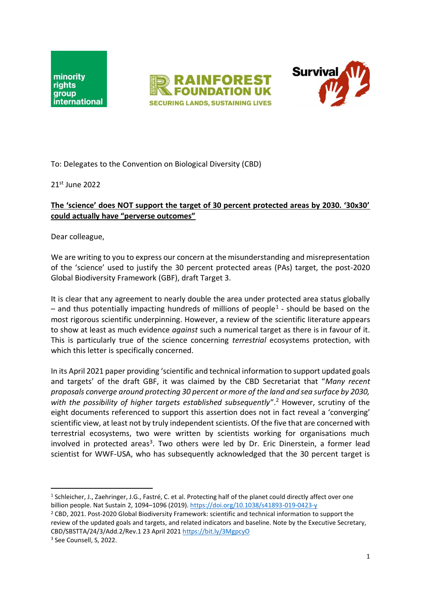





To: Delegates to the Convention on Biological Diversity (CBD)

21st June 2022

## **The 'science' does NOT support the target of 30 percent protected areas by 2030. '30x30' could actually have "perverse outcomes"**

Dear colleague,

We are writing to you to express our concern at the misunderstanding and misrepresentation of the 'science' used to justify the 30 percent protected areas (PAs) target, the post-2020 Global Biodiversity Framework (GBF), draft Target 3.

It is clear that any agreement to nearly double the area under protected area status globally  $-$  and thus potentially impacting hundreds of millions of people<sup>1</sup> - should be based on the most rigorous scientific underpinning. However, a review of the scientific literature appears to show at least as much evidence *against* such a numerical target as there is in favour of it. This is particularly true of the science concerning *terrestrial* ecosystems protection, with which this letter is specifically concerned.

In its April 2021 paper providing 'scientific and technical information to support updated goals and targets' of the draft GBF, it was claimed by the CBD Secretariat that "*Many recent proposals converge around protecting 30 percent or more of the land and sea surface by 2030,*  with the possibility of higher targets established subsequently".<sup>2</sup> However, scrutiny of the eight documents referenced to support this assertion does not in fact reveal a 'converging' scientific view, at least not by truly independent scientists. Of the five that are concerned with terrestrial ecosystems, two were written by scientists working for organisations much involved in protected areas<sup>3</sup>. Two others were led by Dr. Eric Dinerstein, a former lead scientist for WWF-USA, who has subsequently acknowledged that the 30 percent target is

<sup>2</sup> CBD, 2021. Post-2020 Global Biodiversity Framework: scientific and technical information to support the review of the updated goals and targets, and related indicators and baseline. Note by the Executive Secretary, CBD/SBSTTA/24/3/Add.2/Rev.1 23 April 2021<https://bit.ly/3MgpcyO> <sup>3</sup> See Counsell, S, 2022.

<sup>1</sup> Schleicher, J., Zaehringer, J.G., Fastré, C. et al. Protecting half of the planet could directly affect over one billion people. Nat Sustain 2, 1094–1096 (2019).<https://doi.org/10.1038/s41893-019-0423-y>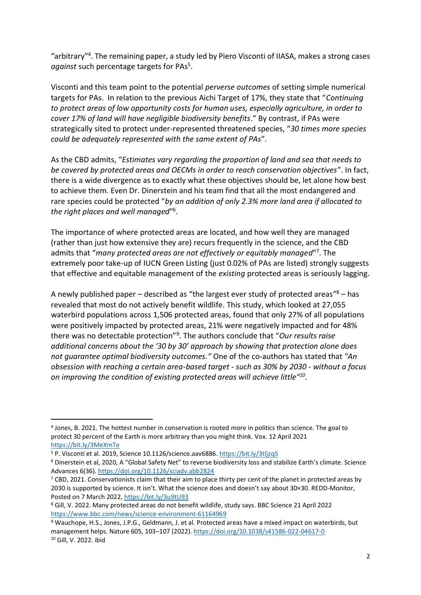"arbitrary"<sup>4</sup>. The remaining paper, a study led by Piero Visconti of IIASA, makes a strong cases against such percentage targets for PAs<sup>5</sup>.

Visconti and this team point to the potential *perverse outcomes* of setting simple numerical targets for PAs. In relation to the previous Aichi Target of 17%, they state that "*Continuing to protect areas of low opportunity costs for human uses, especially agriculture, in order to cover 17% of land will have negligible biodiversity benefits*." By contrast, if PAs were strategically sited to protect under-represented threatened species, "*30 times more species could be adequately represented with the same extent of PAs*".

As the CBD admits, "*Estimates vary regarding the proportion of land and sea that needs to be covered by protected areas and OECMs in order to reach conservation objectives*". In fact, there is a wide divergence as to exactly what these objectives should be, let alone how best to achieve them. Even Dr. Dinerstein and his team find that all the most endangered and rare species could be protected "*by an addition of only 2.3% more land area if allocated to the right places and well managed*" 6 .

The importance of where protected areas are located, and how well they are managed (rather than just how extensive they are) recurs frequently in the science, and the CBD admits that "many protected areas are not effectively or equitably managed"<sup>7</sup>. The extremely poor take-up of IUCN Green Listing (just 0.02% of PAs are listed) strongly suggests that effective and equitable management of the *existing* protected areas is seriously lagging.

A newly published paper – described as "the largest ever study of protected areas"<sup>8</sup> – has revealed that most do not actively benefit wildlife. This study, which looked at 27,055 waterbird populations across 1,506 protected areas, found that only 27% of all populations were positively impacted by protected areas, 21% were negatively impacted and for 48% there was no detectable protection"<sup>9</sup> . The authors conclude that "*Our results raise additional concerns about the '30 by 30' approach by showing that protection alone does not guarantee optimal biodiversity outcomes."* One of the co-authors has stated that *"An obsession with reaching a certain area-based target - such as 30% by 2030 - without a focus on improving the condition of existing protected areas will achieve little"<sup>10</sup> .*

<sup>4</sup> Jones, B. 2021. The hottest number in conservation is rooted more in politics than science. The goal to protect 30 percent of the Earth is more arbitrary than you might think. Vox. 12 April 2021 <https://bit.ly/3MeXmTe>

<sup>5</sup> P. Visconti et al. 2019, Science 10.1126/science.aav6886[. https://bit.ly/3tljzq5](https://bit.ly/3tljzq5)

<sup>6</sup> Dinerstein et al, 2020, A "Global Safety Net" to reverse biodiversity loss and stabilize Earth's climate. Science Advances 6(36).<https://doi.org/10.1126/sciadv.abb2824>

 $7$  CBD, 2021. Conservationists claim that their aim to place thirty per cent of the planet in protected areas by 2030 is supported by science. It isn't. What the science does and doesn't say about 30×30. REDD-Monitor, Posted on 7 March 2022,<https://bit.ly/3u9tU93>

<sup>8</sup> Gill, V. 2022. Many protected areas do not benefit wildlife, study says. BBC Science 21 April 2022 <https://www.bbc.com/news/science-environment-61164969>

<sup>9</sup> Wauchope, H.S., Jones, J.P.G., Geldmann, J. et al. Protected areas have a mixed impact on waterbirds, but management helps. Nature 605, 103–107 (2022).<https://doi.org/10.1038/s41586-022-04617-0> <sup>10</sup> Gill, V. 2022. ibid